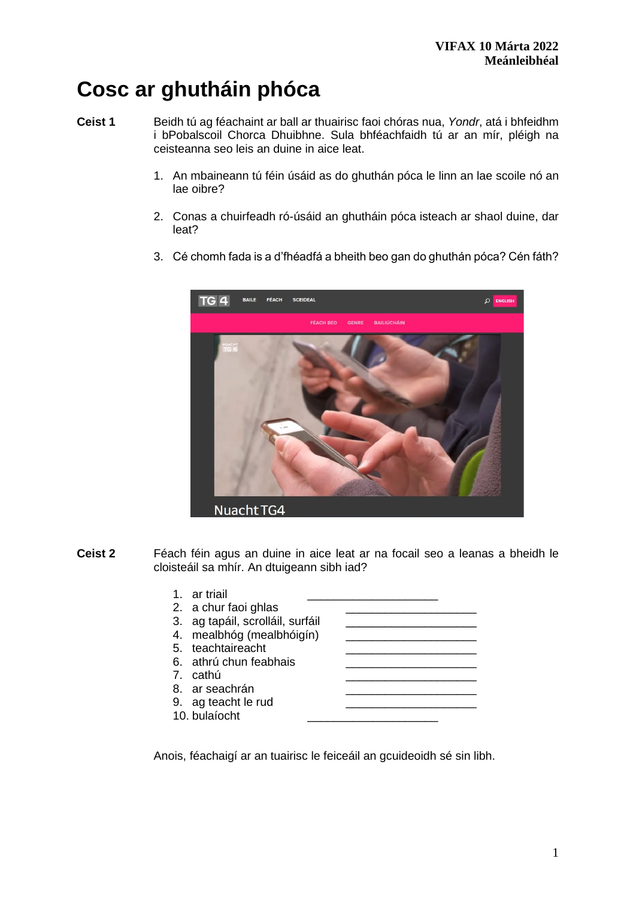# **Cosc ar ghutháin phóca**

**Ceist 1** Beidh tú ag féachaint ar ball ar thuairisc faoi chóras nua, *Yondr*, atá i bhfeidhm i bPobalscoil Chorca Dhuibhne. Sula bhféachfaidh tú ar an mír, pléigh na ceisteanna seo leis an duine in aice leat.

- 1. An mbaineann tú féin úsáid as do ghuthán póca le linn an lae scoile nó an lae oibre?
- 2. Conas a chuirfeadh ró-úsáid an ghutháin póca isteach ar shaol duine, dar leat?
- 3. Cé chomh fada is a d'fhéadfá a bheith beo gan do ghuthán póca? Cén fáth?



**Ceist 2** Féach féin agus an duine in aice leat ar na focail seo a leanas a bheidh le cloisteáil sa mhír. An dtuigeann sibh iad?

| 1. ar triail                     |  |
|----------------------------------|--|
| 2. a chur faoi ghlas             |  |
| 3. ag tapáil, scrolláil, surfáil |  |
| 4. mealbhóg (mealbhóigín)        |  |
| 5. teachtaireacht                |  |
| 6. athrú chun feabhais           |  |
| 7. cathú                         |  |
| 8. ar seachrán                   |  |
| 9. ag teacht le rud              |  |
| 10. bulaíocht                    |  |

Anois, féachaigí ar an tuairisc le feiceáil an gcuideoidh sé sin libh.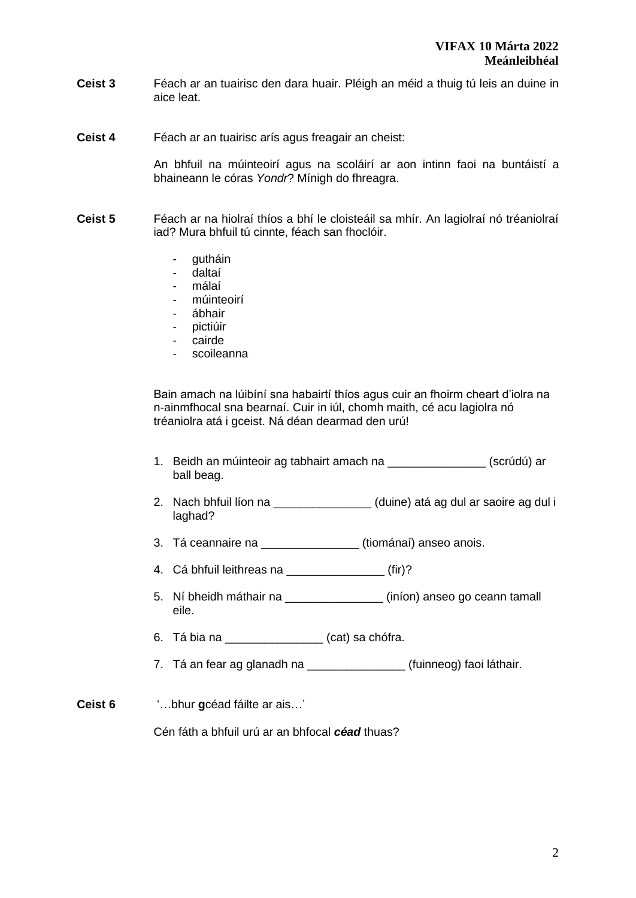- **Ceist 3** Féach ar an tuairisc den dara huair. Pléigh an méid a thuig tú leis an duine in aice leat.
- **Ceist 4** Féach ar an tuairisc arís agus freagair an cheist:

An bhfuil na múinteoirí agus na scoláirí ar aon intinn faoi na buntáistí a bhaineann le córas *Yondr*? Mínigh do fhreagra.

- **Ceist 5** Féach ar na hiolraí thíos a bhí le cloisteáil sa mhír. An lagiolraí nó tréaniolraí iad? Mura bhfuil tú cinnte, féach san fhoclóir.
	- gutháin
	- daltaí
	- málaí
	- múinteoirí
	- ábhair
	- pictiúir
	- cairde
	- scoileanna

Bain amach na lúibíní sna habairtí thíos agus cuir an fhoirm cheart d'iolra na n-ainmfhocal sna bearnaí. Cuir in iúl, chomh maith, cé acu lagiolra nó tréaniolra atá i gceist. Ná déan dearmad den urú!

- 1. Beidh an múinteoir ag tabhairt amach na **chuidh an chuidh an chuidh a**r (scrúdú) ar ball beag.
- 2. Nach bhfuil líon na **chogairt i cuine** (duine) atá ag dul ar saoire ag dul i laghad?
- 3. Tá ceannaire na **Easain** (tiománaí) anseo anois.
- 4. Cá bhfuil leithreas na \_\_\_\_\_\_\_\_\_\_\_\_\_\_\_ (fir)?
- 5. Ní bheidh máthair na \_\_\_\_\_\_\_\_\_\_\_\_\_\_\_ (iníon) anseo go ceann tamall eile.
- 6. Tá bia na \_\_\_\_\_\_\_\_\_\_\_\_\_\_\_ (cat) sa chófra.
- 7. Tá an fear ag glanadh na \_\_\_\_\_\_\_\_\_\_\_\_\_\_\_\_\_(fuinneog) faoi láthair.
- **Ceist 6** '…bhur **g**céad fáilte ar ais…'

Cén fáth a bhfuil urú ar an bhfocal *céad* thuas?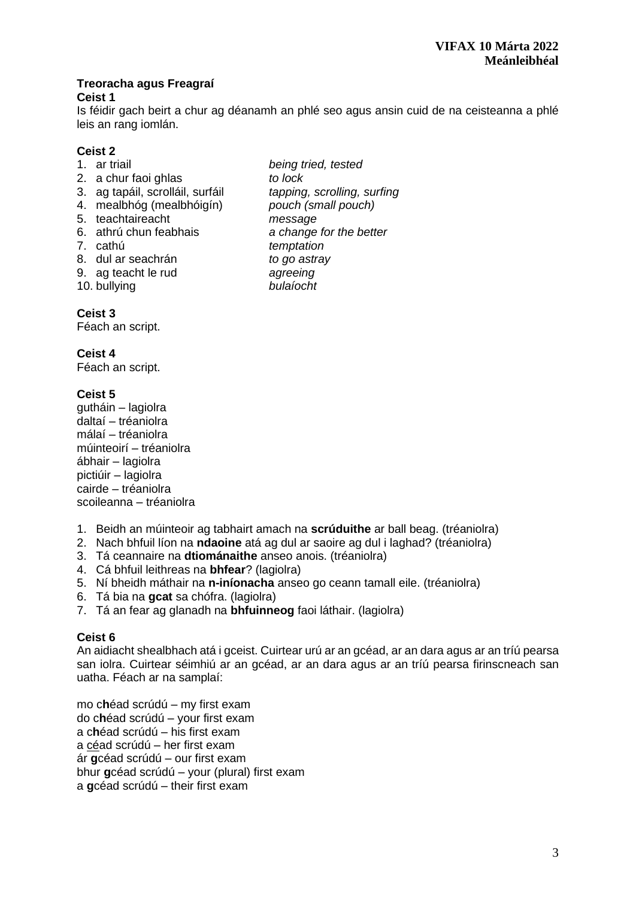#### **Treoracha agus Freagraí Ceist 1**

Is féidir gach beirt a chur ag déanamh an phlé seo agus ansin cuid de na ceisteanna a phlé leis an rang iomlán.

- **Ceist 2** 1. ar triail *being tried, tested* 2. a chur faoi ghlas *to lock*  3. ag tapáil, scrolláil, surfáil *tapping, scrolling, surfing* 4. mealbhóg (mealbhóigín) *pouch (small pouch)* 5. teachtaireacht *message* 6. athrú chun feabhais *a change for the better* 7. cathú *temptation*  8. dul ar seachrán *to go astray*  9. ag teacht le rud **agreeing**<br>10. bullving **and the state of the bulls** is a bulls in the bulls in the bulls in the bulls in the bulls in the t
- 10. bullying *bulaíocht*

# **Ceist 3**

Féach an script.

# **Ceist 4**

Féach an script.

# **Ceist 5**

gutháin – lagiolra daltaí – tréaniolra málaí – tréaniolra múinteoirí – tréaniolra ábhair – lagiolra pictiúir – lagiolra cairde – tréaniolra scoileanna – tréaniolra

- 1. Beidh an múinteoir ag tabhairt amach na **scrúduithe** ar ball beag. (tréaniolra)
- 2. Nach bhfuil líon na **ndaoine** atá ag dul ar saoire ag dul i laghad? (tréaniolra)
- 3. Tá ceannaire na **dtiománaithe** anseo anois. (tréaniolra)
- 4. Cá bhfuil leithreas na **bhfear**? (lagiolra)
- 5. Ní bheidh máthair na **n-iníonacha** anseo go ceann tamall eile. (tréaniolra)
- 6. Tá bia na **gcat** sa chófra. (lagiolra)
- 7. Tá an fear ag glanadh na **bhfuinneog** faoi láthair. (lagiolra)

### **Ceist 6**

An aidiacht shealbhach atá i gceist. Cuirtear urú ar an gcéad, ar an dara agus ar an tríú pearsa san iolra. Cuirtear séimhiú ar an gcéad, ar an dara agus ar an tríú pearsa firinscneach san uatha. Féach ar na samplaí:

mo c**h**éad scrúdú – my first exam do c**h**éad scrúdú – your first exam a c**h**éad scrúdú – his first exam a céad scrúdú – her first exam ár **g**céad scrúdú – our first exam bhur **g**céad scrúdú – your (plural) first exam a **g**céad scrúdú – their first exam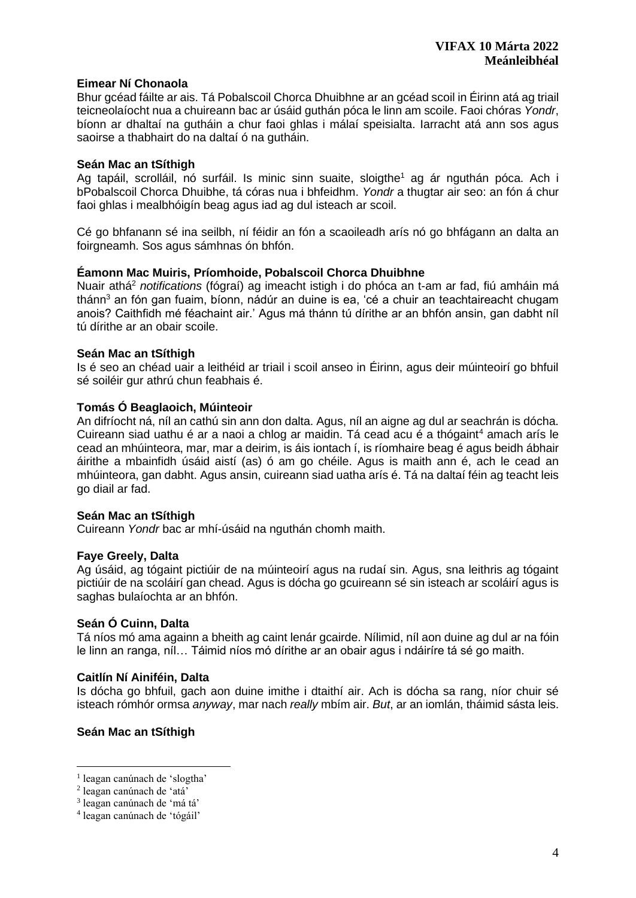#### **Eimear Ní Chonaola**

Bhur gcéad fáilte ar ais. Tá Pobalscoil Chorca Dhuibhne ar an gcéad scoil in Éirinn atá ag triail teicneolaíocht nua a chuireann bac ar úsáid guthán póca le linn am scoile. Faoi chóras *Yondr*, bíonn ar dhaltaí na gutháin a chur faoi ghlas i málaí speisialta. Iarracht atá ann sos agus saoirse a thabhairt do na daltaí ó na gutháin.

#### **Seán Mac an tSíthigh**

Ag tapáil, scrolláil, nó surfáil. Is minic sinn suaite, sloigthe<sup>1</sup> ag ár nguthán póca. Ach i bPobalscoil Chorca Dhuibhe, tá córas nua i bhfeidhm. *Yondr* a thugtar air seo: an fón á chur faoi ghlas i mealbhóigín beag agus iad ag dul isteach ar scoil.

Cé go bhfanann sé ina seilbh, ní féidir an fón a scaoileadh arís nó go bhfágann an dalta an foirgneamh. Sos agus sámhnas ón bhfón.

#### **Éamonn Mac Muiris, Príomhoide, Pobalscoil Chorca Dhuibhne**

Nuair athá <sup>2</sup> *notifications* (fógraí) ag imeacht istigh i do phóca an t-am ar fad, fiú amháin má thánn<sup>3</sup> an fón gan fuaim, bíonn, nádúr an duine is ea, 'cé a chuir an teachtaireacht chugam anois? Caithfidh mé féachaint air.' Agus má thánn tú dírithe ar an bhfón ansin, gan dabht níl tú dírithe ar an obair scoile.

#### **Seán Mac an tSíthigh**

Is é seo an chéad uair a leithéid ar triail i scoil anseo in Éirinn, agus deir múinteoirí go bhfuil sé soiléir gur athrú chun feabhais é.

#### **Tomás Ó Beaglaoich, Múinteoir**

An difríocht ná, níl an cathú sin ann don dalta. Agus, níl an aigne ag dul ar seachrán is dócha. Cuireann siad uathu é ar a naoi a chlog ar maidin. Tá cead acu é a thógaint<sup>4</sup> amach arís le cead an mhúinteora, mar, mar a deirim, is áis iontach í, is ríomhaire beag é agus beidh ábhair áirithe a mbainfidh úsáid aistí (as) ó am go chéile. Agus is maith ann é, ach le cead an mhúinteora, gan dabht. Agus ansin, cuireann siad uatha arís é. Tá na daltaí féin ag teacht leis go diail ar fad.

#### **Seán Mac an tSíthigh**

Cuireann *Yondr* bac ar mhí-úsáid na nguthán chomh maith.

#### **Faye Greely, Dalta**

Ag úsáid, ag tógaint pictiúir de na múinteoirí agus na rudaí sin. Agus, sna leithris ag tógaint pictiúir de na scoláirí gan chead. Agus is dócha go gcuireann sé sin isteach ar scoláirí agus is saghas bulaíochta ar an bhfón.

#### **Seán Ó Cuinn, Dalta**

Tá níos mó ama againn a bheith ag caint lenár gcairde. Nílimid, níl aon duine ag dul ar na fóin le linn an ranga, níl… Táimid níos mó dírithe ar an obair agus i ndáiríre tá sé go maith.

#### **Caitlín Ní Ainiféin, Dalta**

Is dócha go bhfuil, gach aon duine imithe i dtaithí air. Ach is dócha sa rang, níor chuir sé isteach rómhór ormsa *anyway*, mar nach *really* mbím air. *But*, ar an iomlán, tháimid sásta leis.

### **Seán Mac an tSíthigh**

<sup>&</sup>lt;sup>1</sup> leagan canúnach de 'slogtha'

<sup>2</sup> leagan canúnach de 'atá'

<sup>3</sup> leagan canúnach de 'má tá'

<sup>4</sup> leagan canúnach de 'tógáil'